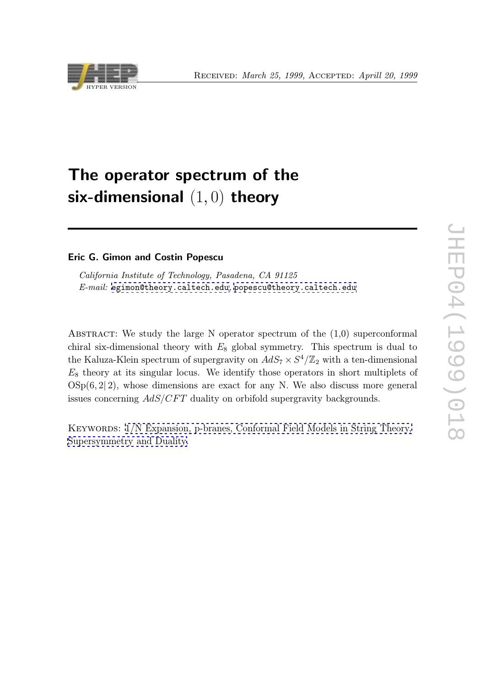

# The operator spectrum of the six-dimensional  $(1,0)$  theory

Eric G. Gimon and Costin Popescu

California Institute of Technology, Pasadena, CA 91125 E-mail: egimon@theory.caltech.edu, popescu@theory.caltech.edu

ABSTRACT: [We](mailto:egimon@theory.caltech.edu) [study](mailto:egimon@theory.caltech.edu) [the](mailto:popescu@theory.caltech.edu) [large](mailto:egimon@theory.caltech.edu) [N](mailto:egimon@theory.caltech.edu) [op](mailto:egimon@theory.caltech.edu)e[rator](mailto:popescu@theory.caltech.edu) [spectrum](mailto:popescu@theory.caltech.edu) [of](mailto:popescu@theory.caltech.edu) the  $(1,0)$  [s](mailto:popescu@theory.caltech.edu)uperconformal chiral six-dimensional theory with  $E_8$  global symmetry. This spectrum is dual to the Kaluza-Klein spectrum of supergravity on  $AdS_7 \times S^4/\mathbb{Z}_2$  with a ten-dimensional  $E_8$  theory at its singular locus. We identify those operators in short multiplets of  $OSp(6, 2|2)$ , whose dimensions are exact for any N. We also discuss more general issues concerning  $AdS/CFT$  duality on orbifold supergravity backgrounds.

KEYWORDS:  $1/N$  Expansion, p-branes, Conformal Field Models in String Theory, Supersymmetry and Duality.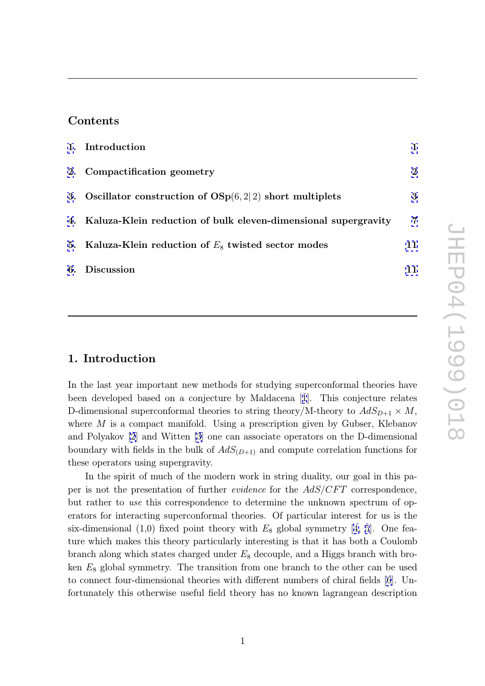### Contents

| 1. Introduction                                                   |                |
|-------------------------------------------------------------------|----------------|
| 2. Compactification geometry                                      | $\bf{2}$       |
| 3. Oscillator construction of $OSp(6,2 2)$ short multiplets       | 3              |
| 4. Kaluza-Klein reduction of bulk eleven-dimensional supergravity | $\overline{7}$ |
| 5. Kaluza-Klein reduction of $E_8$ twisted sector modes           | 11             |
| 6. Discussion                                                     | 11             |
|                                                                   |                |

### 1. Introduction

In the last year important new methods for studying superconformal theories have been developed based on a conjecture by Maldacena [1]. This conjecture relates D-dimensional superconformal theories to string theory/M-theory to  $AdS_{D+1} \times M$ , where M is a compact manifold. Using a prescription given by Gubser, Klebanov and Polyakov [2] and Witten [3] one can associate ope[ra](#page-14-0)tors on the D-dimensional boundary with fields in the bulk of  $AdS_{(D+1)}$  and compute correlation functions for these operators using supergravity.

In the spir[it](#page-14-0) of much of th[e](#page-14-0) modern work in string duality, our goal in this paper is not the presentation of further *evidence* for the  $AdS/CFT$  correspondence, but rather to use this correspondence to determine the unknown spectrum of operators for interacting superconformal theories. Of particular interest for us is the six-dimensional  $(1,0)$  fixed point theory with  $E_8$  global symmetry [4, 5]. One feature which makes this theory particularly interesting is that it has both a Coulomb branch along which states charged under  $E_8$  decouple, and a Higgs branch with broken  $E_8$  global symmetry. T[he](#page-14-0) transition from one branch to the other [c](#page-14-0)an be used to connect four-dimensional theories with different numbers of chiral fields [6]. Unfortunately this otherwise useful field theory has no known lagrangean description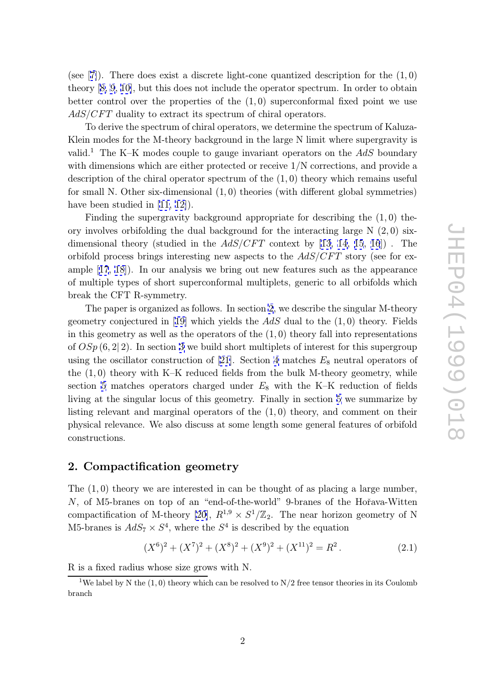<span id="page-2-0"></span>(see  $[7]$ ). There does exist a discrete light-cone quantized description for the  $(1,0)$ theory [8, 9, 10], but this does not include the operator spectrum. In order to obtain better control over the properties of the  $(1,0)$  superconformal fixed point we use  $AdS/CFT$  $AdS/CFT$  $AdS/CFT$  duality to extract its spectrum of chiral operators.

To [derive th](#page-14-0)e spectrum of chiral operators, we determine the spectrum of Kaluza-Klein modes for the M-theory background in the large N limit where supergravity is valid.<sup>1</sup> The K–K modes couple to gauge invariant operators on the  $AdS$  boundary with dimensions which are either protected or receive 1/N corrections, and provide a description of the chiral operator spectrum of the  $(1,0)$  theory which remains useful for small N. Other six-dimensional  $(1,0)$  theories (with different global symmetries) have been studied in [11, 12]).

Finding the supergravity background appropriate for describing the  $(1,0)$  theory involves orbifolding the dual background for the interacting large  $N(2,0)$  sixdimensional theory ([studied](#page-14-0) in the  $AdS/CFT$  context by [13, 14, 15, 16]). The orbifold process brings interesting new aspects to the  $AdS/CFT$  story (see for example [17, 18]). In our analysis we bring out new features such as the appearance of multiple types of short superconformal multiplets, generi[c t](#page-14-0)o [al](#page-15-0)l [orb](#page-15-0)i[fol](#page-15-0)ds which break the CFT R-symmetry.

Th[e p](#page-15-0)a[per](#page-15-0) is organized as follows. In section 2, we describe the singular M-theory geometry conjectured in [19] which yields the  $AdS$  dual to the  $(1,0)$  theory. Fields in this geometry as well as the operators of the  $(1,0)$  theory fall into representations of  $OSp(6,2|2)$ . In section 3 we build short multiplets of interest for this supergroup using the oscillator const[ruc](#page-15-0)tion of [21]. Section 4 matches  $E_8$  neutral operators of the (1 , 0) theory with K–K reduced fields from the bulk M-theory geometry, while section 5 matches operat[or](#page-3-0)s charged under  $E_8$  with the K–K reduction of fields living at the singular locus of this g[eom](#page-15-0)etry. Fi[na](#page-7-0)lly in section 5 we summarize by listing relevant and marginal operators of the  $(1,0)$  theory, and comment on their physica[l r](#page-11-0)elevance. We also discuss at some length some general features of orbifold constructions.

### 2. Compactification geometry

The  $(1,0)$  theory we are interested in can be thought of as placing a large number,  $N$ , of M5-branes on top of an "end-of-the-world" 9-branes of the Hořava-Witten compactification of M-theory [20],  $R^{1,9} \times S^1/\mathbb{Z}_2$ . The near horizon geometry of N M5-branes is  $AdS_7 \times S^4$ , where the  $S^4$  is described by the equation

$$
(X6)2 + (X7)2 + (X8)2 + (X9)2 + (X11)2 = R2.
$$
 (2.1)

R is a fixed radius whose size grows with N.

<sup>&</sup>lt;sup>1</sup>We label by N the  $(1, 0)$  theory which can be resolved to  $N/2$  free tensor theories in its Coulomb branch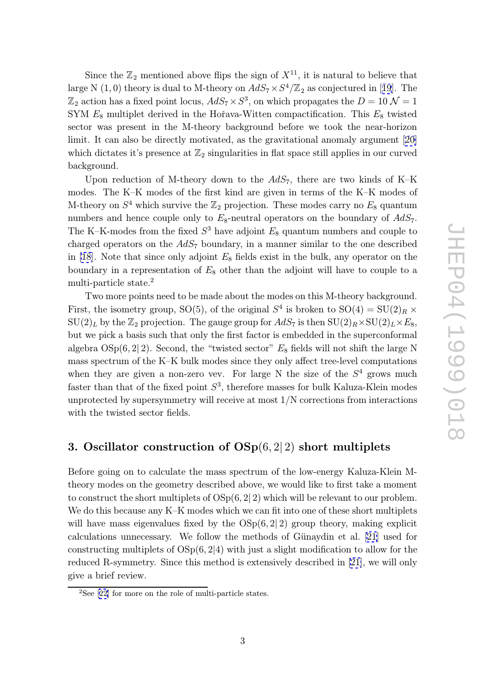<span id="page-3-0"></span>Since the  $\mathbb{Z}_2$  mentioned above flips the sign of  $X^{11}$ , it is natural to believe that large N  $(1,0)$  theory is dual to M-theory on  $AdS_7 \times S^4/\mathbb{Z}_2$  as conjectured in [19]. The  $\mathbb{Z}_2$  action has a fixed point locus,  $AdS_7 \times S^3$ , on which propagates the  $D = 10 \mathcal{N} = 1$ SYM  $E_8$  multiplet derived in the Hořava-Witten compactification. This  $E_8$  twisted sector was present in the M-theory background before we took the nea[r-h](#page-15-0)orizon limit. It can also be directly motivated, as the gravitational anomaly argument [20] which dictates it's presence at  $\mathbb{Z}_2$  singularities in flat space still applies in our curved background.

Upon reduction of M-theory down to the  $AdS_7$ , there are two kinds of [K–K](#page-15-0) modes. The K–K modes of the first kind are given in terms of the K–K modes of M-theory on  $S^4$  which survive the  $\mathbb{Z}_2$  projection. These modes carry no  $E_8$  quantum numbers and hence couple only to  $E_8$ -neutral operators on the boundary of  $AdS_7$ . The K-K-modes from the fixed  $S^3$  have adjoint  $E_8$  quantum numbers and couple to charged operators on the  $AdS_7$  boundary, in a manner similar to the one described in [18]. Note that since only adjoint  $E_8$  fields exist in the bulk, any operator on the boundary in a representation of  $E_8$  other than the adjoint will have to couple to a multi-particle state.<sup>2</sup>

[T](#page-15-0)wo more points need to be made about the modes on this M-theory background. First, the isometry group, SO(5), of the original  $S^4$  is broken to  $SO(4) = SU(2)_R \times$  $\mathrm{SU}(2)_L$  by the  $\mathbb{Z}_2$  projection. The gauge group for  $AdS_7$  is then  $\mathrm{SU}(2)_R \times \mathrm{SU}(2)_L \times E_8,$ but we pick a basis such that only the first factor is embedded in the superconformal algebra  $OSp(6, 2| 2)$ . Second, the "twisted sector"  $E_8$  fields will not shift the large N mass spectrum of the K–K bulk modes since they only affect tree-level computations when they are given a non-zero vev. For large N the size of the  $S<sup>4</sup>$  grows much faster than that of the fixed point  $S^3$ , therefore masses for bulk Kaluza-Klein modes unprotected by supersymmetry will receive at most 1/N corrections from interactions with the twisted sector fields.

## 3. Oscillator construction of  $OSp(6,2|2)$  short multiplets

Before going on to calculate the mass spectrum of the low-energy Kaluza-Klein Mtheory modes on the geometry described above, we would like to first take a moment to construct the short multiplets of  $OSp(6, 2| 2)$  which will be relevant to our problem. We do this because any K–K modes which we can fit into one of these short multiplets will have mass eigenvalues fixed by the  $OSp(6,2|2)$  group theory, making explicit calculations unnecessary. We follow the methods of Günaydin et al.  $[21]$  used for constructing multiplets of  $OSp(6, 2|4)$  with just a slight modification to allow for the reduced R-symmetry. Since this method is extensively described in [21], we will only give a brief review.

<sup>2</sup>See [22] for more on the role of multi-particle states.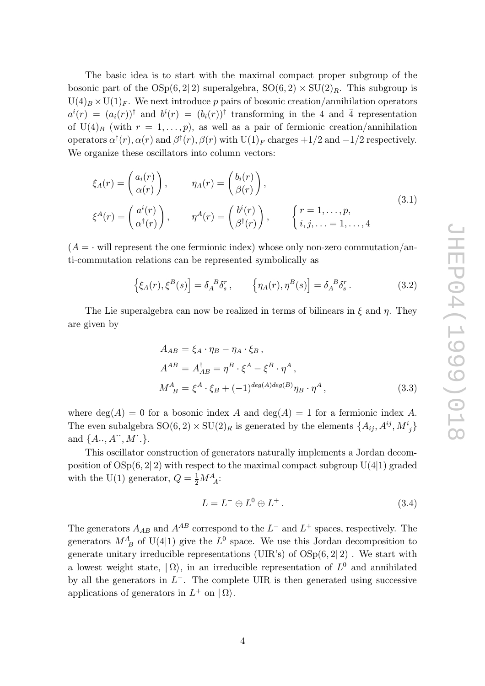The basic idea is to start with the maximal compact proper subgroup of the bosonic part of the  $OSp(6,2|2)$  superalgebra,  $SO(6,2) \times SU(2)_R$ . This subgroup is  $U(4)_B \times U(1)_F$ . We next introduce p pairs of bosonic creation/annihilation operators  $a^i(r) = (a_i(r))^\dagger$  and  $b^i(r) = (b_i(r))^\dagger$  transforming in the 4 and 4 representation of U(4)<sub>B</sub> (with  $r = 1, \ldots, p$ ), as well as a pair of fermionic creation/annihilation operators  $\alpha^{\dagger}(r)$ ,  $\alpha(r)$  and  $\beta^{\dagger}(r)$ ,  $\beta(r)$  with  $U(1)_F$  charges  $+1/2$  and  $-1/2$  respectively. We organize these oscillators into column vectors:

$$
\xi_A(r) = \begin{pmatrix} a_i(r) \\ \alpha(r) \end{pmatrix}, \qquad \eta_A(r) = \begin{pmatrix} b_i(r) \\ \beta(r) \end{pmatrix},
$$
  
\n
$$
\xi^A(r) = \begin{pmatrix} a^i(r) \\ \alpha^\dagger(r) \end{pmatrix}, \qquad \eta^A(r) = \begin{pmatrix} b^i(r) \\ \beta^\dagger(r) \end{pmatrix}, \qquad \begin{cases} r = 1, \dots, p, \\ i, j, \dots = 1, \dots, 4 \end{cases}
$$
\n(3.1)

 $(A = \cdot$  will represent the one fermionic index) whose only non-zero commutation/anti-commutation relations can be represented symbolically as

$$
\left\{\xi_A(r),\xi^B(s)\right\} = \delta_A^B \delta_s^r, \qquad \left\{\eta_A(r),\eta^B(s)\right\} = \delta_A^B \delta_s^r. \tag{3.2}
$$

The Lie superalgebra can now be realized in terms of bilinears in  $\xi$  and  $\eta$ . They are given by

$$
A_{AB} = \xi_A \cdot \eta_B - \eta_A \cdot \xi_B,
$$
  
\n
$$
A^{AB} = A_{AB}^{\dagger} = \eta^B \cdot \xi^A - \xi^B \cdot \eta^A,
$$
  
\n
$$
M_{\ B}^A = \xi^A \cdot \xi_B + (-1)^{\deg(A)\deg(B)} \eta_B \cdot \eta^A,
$$
\n(3.3)

where  $deg(A) = 0$  for a bosonic index A and  $deg(A) = 1$  for a fermionic index A. The even subalgebra  $SO(6, 2) \times SU(2)_R$  is generated by the elements  $\{A_{ij}, A^{ij}, M^i{}_j\}$ and  $\{A\cdot\cdot, A^{\cdot\cdot}, M^{\cdot}\}$ .

This oscillator construction of generators naturally implements a Jordan decomposition of  $OSp(6, 2|2)$  with respect to the maximal compact subgroup  $U(4|1)$  graded with the U(1) generator,  $Q = \frac{1}{2} M^A_{A}$ :

$$
L = L^- \oplus L^0 \oplus L^+ \,. \tag{3.4}
$$

The generators  $A_{AB}$  and  $A^{AB}$  correspond to the  $L^-$  and  $L^+$  spaces, respectively. The generators  $M_B^A$  of U(4|1) give the  $L^0$  space. We use this Jordan decomposition to generate unitary irreducible representations (UIR's) of  $OSp(6,2|2)$ . We start with a lowest weight state,  $|\Omega\rangle$ , in an irreducible representation of  $L^0$  and annihilated by all the generators in  $L^-$ . The complete UIR is then generated using successive applications of generators in  $L^+$  on  $|\Omega\rangle$ .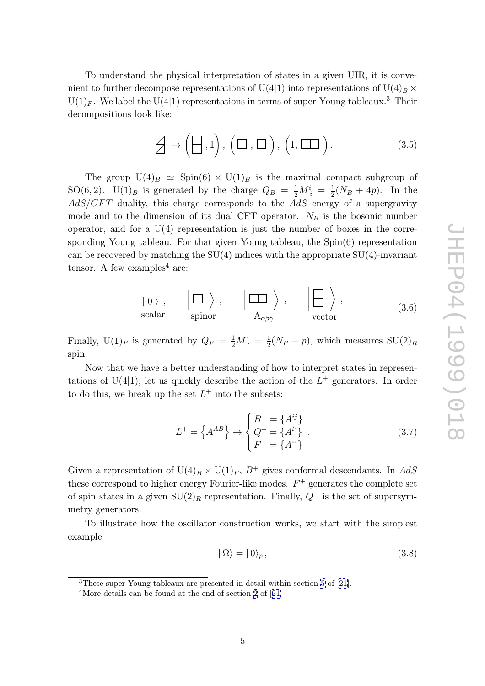To understand the physical interpretation of states in a given UIR, it is convenient to further decompose representations of U(4|1) into representations of U(4)<sub>B</sub>  $\times$  $U(1)_F$ . We label the  $U(4|1)$  representations in terms of super-Young tableaux.<sup>3</sup> Their decompositions look like:

$$
\Box \rightarrow (\Box, 1), (\Box, \Box), (1, \Box \Box).
$$
 (3.5)

The group  $U(4)_B \simeq$  Spin(6)  $\times$  U(1)<sub>B</sub> is the maximal compact subgroup of SO(6,2). U(1)<sub>B</sub> is generated by the charge  $Q_B = \frac{1}{2}M_i^i = \frac{1}{2}(N_B + 4p)$ . In the  $AdS/CFT$  duality, this charge corresponds to the  $AdS$  energy of a supergravity mode and to the dimension of its dual CFT operator.  $N_B$  is the bosonic number operator, and for a  $U(4)$  representation is just the number of boxes in the corresponding Young tableau. For that given Young tableau, the Spin(6) representation can be recovered by matching the  $SU(4)$  indices with the appropriate  $SU(4)$ -invariant tensor. A few examples<sup>4</sup> are:

$$
|0\rangle
$$
,  $|\Box\rangle$ ,  $|\Box\rangle$ ,  $|\Box\rangle$ ,  $|\Box\rangle$ ,  
scalar spinor  $A_{\alpha\beta\gamma}$  vector (3.6)

Finally,  $U(1)_F$  is generated by  $Q_F = \frac{1}{2}M$ ;  $= \frac{1}{2}(N_F - p)$ , which measures  $SU(2)_R$ spin.

Now that we have a better understanding of how to interpret states in representations of  $U(4|1)$ , let us quickly describe the action of the  $L^+$  generators. In order to do this, we break up the set  $L^+$  into the subsets:

$$
L^{+} = \left\{ A^{AB} \right\} \rightarrow \begin{cases} B^{+} = \left\{ A^{ij} \right\} \\ Q^{+} = \left\{ A^{i^{*}} \right\} \\ F^{+} = \left\{ A^{+} \right\} \end{cases} . \tag{3.7}
$$

Given a representation of  $U(4)_B \times U(1)_F$ ,  $B^+$  gives conformal descendants. In AdS these correspond to higher energy Fourier-like modes.  $F^+$  generates the complete set of spin states in a given  $SU(2)_R$  representation. Finally,  $Q^+$  is the set of supersymmetry generators.

To illustrate how the oscillator construction works, we start with the simplest example

$$
|\Omega\rangle = |0\rangle_p, \tag{3.8}
$$

<sup>3</sup>These super-Young tableaux are presented in detail within section 5 of [21].

<sup>&</sup>lt;sup>4</sup>More details can be found at the end of section 2 of [21]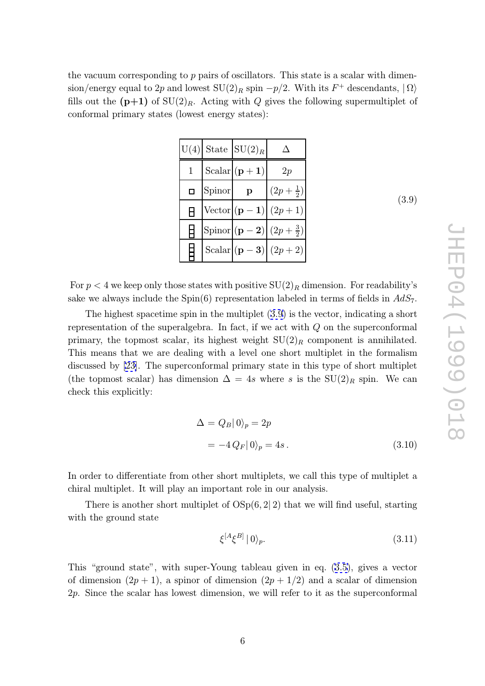<span id="page-6-0"></span>the vacuum corresponding to p pairs of oscillators. This state is a scalar with dimension/energy equal to 2p and lowest  $SU(2)_R$  spin  $-p/2$ . With its  $F^+$  descendants,  $|\Omega\rangle$ fills out the  $(p+1)$  of  $SU(2)_R$ . Acting with Q gives the following supermultiplet of conformal primary states (lowest energy states):

|   |        | $U(4)$ State $SU(2)_R$ |                                                   |
|---|--------|------------------------|---------------------------------------------------|
|   |        | Scalar $(p+1)$         | 2p                                                |
| Ω | Spinor | $\mathbf{p}$           | $(2p+\frac{1}{2})$                                |
| A |        |                        | Vector $(p-1) (2p+1)$                             |
|   |        |                        | Spinor $ ({\bf p} - {\bf 2})  (2p + \frac{3}{2})$ |
|   |        |                        | Scalar $ ({\bf p} - {\bf 3})  (2p + 2)$           |

(3.9)

For  $p < 4$  we keep only those states with positive  $\mathrm{SU}(2)_R$  dimension. For readability's sake we always include the Spin(6) representation labeled in terms of fields in  $AdS_7$ .

The highest spacetime spin in the multiplet (3.9) is the vector, indicating a short representation of the superalgebra. In fact, if we act with  $Q$  on the superconformal primary, the topmost scalar, its highest weight  $SU(2)_R$  component is annihilated. This means that we are dealing with a level one short multiplet in the formalism discussed by [23]. The superconformal primary state in this type of short multiplet (the topmost scalar) has dimension  $\Delta = 4s$  where s is the  $SU(2)_R$  spin. We can check this explicitly:

$$
\Delta = Q_B |0\rangle_p = 2p
$$
  
=  $-4 Q_F |0\rangle_p = 4s$ . (3.10)

In order to differentiate from other short multiplets, we call this type of multiplet a chiral multiplet. It will play an important role in our analysis.

There is another short multiplet of  $OSp(6, 2|2)$  that we will find useful, starting with the ground state

$$
\xi^{[A}\xi^{B]} \mid 0 \rangle_p. \tag{3.11}
$$

This "ground state", with super-Young tableau given in eq. (3.5), gives a vector of dimension  $(2p + 1)$ , a spinor of dimension  $(2p + 1/2)$  and a scalar of dimension 2 p. Since the scalar has lowest dimension, we will refer to it as the superconformal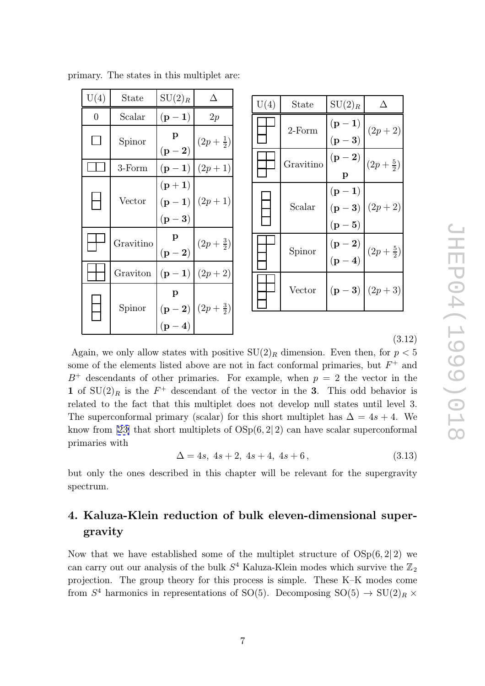<span id="page-7-0"></span>

|  |  |  |  |  |  | primary. The states in this multiplet are: |  |
|--|--|--|--|--|--|--------------------------------------------|--|
|--|--|--|--|--|--|--------------------------------------------|--|

| U(4) | State     | $SU(2)_R$                                 | Л                    |
|------|-----------|-------------------------------------------|----------------------|
| 0    | Scalar    | $(p-1)$                                   | 2p                   |
|      | Spinor    | $\mathbf p$<br>$({\bf p} - {\bf 2})$      | $(2p + \frac{1}{2})$ |
|      | 3-Form    | $(p-1)$                                   | $(2p+1)$             |
|      | Vector    | $({\bf p}+{\bf 1})$<br>$(p-1)$<br>$(p-3)$ | $(2p+1)$             |
|      | Gravitino | p<br>$({\bf p} - {\bf 2})$                | $(2p+\frac{3}{2})$   |
|      | Graviton  | $(p-1)$                                   | $(2p + 2)$           |
|      | Spinor    | p<br>$({\bf p-2})$<br>$({\bf p-4})$       | $(2p+\frac{3}{2})$   |

| U(4) | State     | $SU(2)_R$                        |                      |
|------|-----------|----------------------------------|----------------------|
|      | $2$ -Form | $(p-1)$<br>$(p-3)$               | $(2p + 2)$           |
|      | Gravitino | $(p - 2)$<br>p                   | $(2p + \frac{5}{2})$ |
|      | Scalar    | $(p-1)$<br>$(p-3)$<br>$(p-5)$    | $(2p + 2)$           |
|      | Spinor    | $(p-2)$<br>$({\bf p} - {\bf 4})$ | $(2p + \frac{5}{2})$ |
|      | Vector    |                                  | $(p-3)   (2p+3)$     |

S10 (6661) 50 HD JHEP04(1999)018

(3.12)

Again, we only allow states with positive  $SU(2)_R$  dimension. Even then, for  $p < 5$ some of the elements listed above are not in fact conformal primaries, but  $F^+$  and  $B^+$  descendants of other primaries. For example, when  $p = 2$  the vector in the 1 of  $SU(2)_R$  is the  $F^+$  descendant of the vector in the 3. This odd behavior is related to the fact that this multiplet does not develop null states until level 3. The superconformal primary (scalar) for this short multiplet has  $\Delta = 4s + 4$ . We know from [23] that short multiplets of  $OSp(6,2|2)$  can have scalar superconformal primaries with

$$
\Delta = 4s, \ 4s + 2, \ 4s + 4, \ 4s + 6 \,, \tag{3.13}
$$

but only th[e o](#page-15-0)nes described in this chapter will be relevant for the supergravity spectrum.

# 4. Kaluza-Klein reduction of bulk eleven-dimensional supergravity

Now that we have established some of the multiplet structure of  $OSp(6,2|2)$  we can carry out our analysis of the bulk  $S^4$  Kaluza-Klein modes which survive the  $\mathbb{Z}_2$ projection. The group theory for this process is simple. These K–K modes come from  $S^4$  harmonics in representations of SO(5). Decomposing  $SO(5) \rightarrow SU(2)_R \times$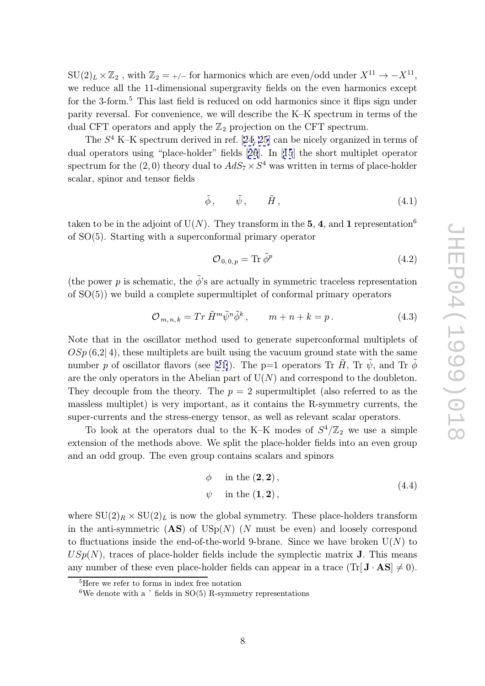$SU(2)_L \times \mathbb{Z}_2$ , with  $\mathbb{Z}_2 = \frac{+}{-}$  for harmonics which are even/odd under  $X^{11} \rightarrow -X^{11}$ , we reduce all the 11-dimensional supergravity fields on the even harmonics except for the 3-form. <sup>5</sup> This last field is reduced on odd harmonics since it flips sign under parity reversal. For convenience, we will describe the K–K spectrum in terms of the dual CFT operators and apply the <sup>Z</sup> <sup>2</sup> projection on the CFT spectrum.

The S <sup>4</sup> K–K spectrum derived in ref. [24, 25] can be nicely organized in terms of dual operators using "place-holder" fields [26]. In [15] the short multiplet operator spectrum for the  $(2,0)$  theory dual to  $AdS_7 \times S^4$  was written in terms of place-holder scalar, spinor and tensor fields

$$
\tilde{\phi}, \qquad \tilde{\psi}, \qquad \tilde{H}, \tag{4.1}
$$

taken to be in the adjoint of U(N). They transform in the 5, 4, and 1 representation<sup>6</sup> of SO(5). Starting with a superconformal primary operator

$$
\mathcal{O}_{0,0,p} = \text{Tr}\,\tilde{\phi}^p \tag{4.2}
$$

(the power p is schematic, the  $\tilde{\phi}'$ 's are actually in symmetric traceless representation of SO(5)) we build a complete supermultiplet of conformal primary operators

$$
\mathcal{O}_{m,n,k} = \operatorname{Tr} \tilde{H}^m \tilde{\psi}^n \tilde{\phi}^k, \qquad m+n+k=p. \tag{4.3}
$$

Note that in the oscillator method used to generate superconformal multiplets of  $OSp(6,2|4)$ , these multiplets are built using the vacuum ground state with the same number p of oscillator flavors (see [21]). The p=1 operators Tr  $\tilde{H}$ , Tr  $\tilde{\psi}$ , and Tr  $\tilde{\phi}$ are the only operators in the Abelian part of  $U(N)$  and correspond to the doubleton. They decouple from the theory. The  $p = 2$  supermultiplet (also referred to as the massless multiplet) is very importa[nt,](#page-15-0) as it contains the R-symmetry currents, the super-currents and the stress-energy tensor, as well as relevant scalar operators.

To look at the operators dual to the K–K modes of  $S^4/\mathbb{Z}_2$  we use a simple extension of the methods above. We split the place-holder fields into an even group and an odd group. The even group contains scalars and spinors

$$
\begin{aligned}\n\phi & \text{in the } (\mathbf{2}, \mathbf{2}), \\
\psi & \text{in the } (\mathbf{1}, \mathbf{2}),\n\end{aligned}\n\tag{4.4}
$$

where  $SU(2)_R \times SU(2)_L$  is now the global symmetry. These place-holders transform in the anti-symmetric  $(AS)$  of  $USp(N)$  (N must be even) and loosely correspond to fluctuations inside the end-of-the-world 9-brane. Since we have broken  $U(N)$  to  $USp(N)$ , traces of place-holder fields include the symplectic matrix **J**. This means any number of these even place-holder fields can appear in a trace  $(\text{Tr}[\mathbf{J} \cdot \mathbf{AS}] \neq 0)$ .

<sup>5</sup>Here we refer to forms in index free notation

<sup>&</sup>lt;sup>6</sup>We denote with a  $\tilde{ }$  fields in SO(5) R-symmetry representations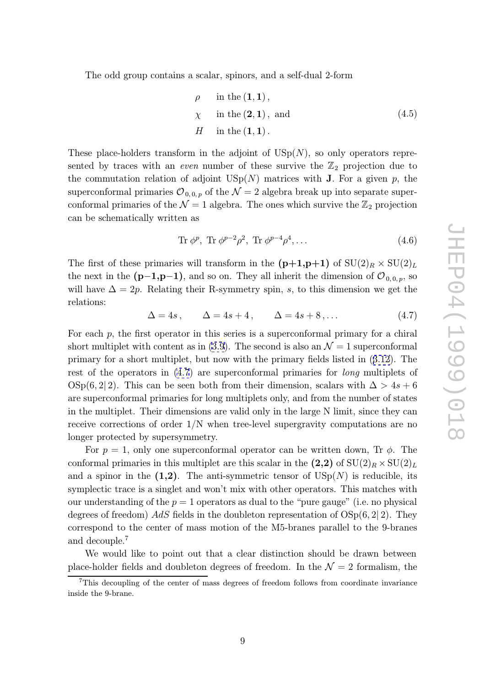The odd group contains a scalar, spinors, and a self-dual 2-form

$$
\rho \quad \text{in the } (\mathbf{1}, \mathbf{1}),
$$
\n
$$
\chi \quad \text{in the } (\mathbf{2}, \mathbf{1}), \text{ and}
$$
\n
$$
H \quad \text{in the } (\mathbf{1}, \mathbf{1}).
$$
\n(4.5)

These place-holders transform in the adjoint of  $\mathrm{USp}(N)$ , so only operators represented by traces with an *even* number of these survive the  $\mathbb{Z}_2$  projection due to the commutation relation of adjoint  $\mathrm{USp}(N)$  matrices with **J**. For a given p, the superconformal primaries  ${\cal O}_{0,0,p}$  of the  ${\cal N}=2$  algebra break up into separate superconformal primaries of the  $\mathcal{N} = 1$  algebra. The ones which survive the  $\mathbb{Z}_2$  projection can be schematically written as

$$
\text{Tr}\,\phi^p,\text{Tr}\,\phi^{p-2}\rho^2,\text{Tr}\,\phi^{p-4}\rho^4,\dots\tag{4.6}
$$

The first of these primaries will transform in the  $(p+1,p+1)$  of  $SU(2)_R \times SU(2)_L$ the next in the  $(p-1,p-1)$ , and so on. They all inherit the dimension of  $\mathcal{O}_{0,0,p}$ , so will have  $\Delta = 2p$ . Relating their R-symmetry spin, s, to this dimension we get the relations:

$$
\Delta = 4s, \qquad \Delta = 4s + 4, \qquad \Delta = 4s + 8, \dots \tag{4.7}
$$

For each p, the first operator in this series is a superconformal primary for a chiral short multiplet with content as in  $(3.9)$ . The second is also an  $\mathcal{N}=1$  superconformal primary for a short multiplet, but now with the primary fields listed in (3.12). The rest of the operators in  $(4.7)$  are superconformal primaries for *long* multiplets of  $\text{OSp}(6,2|2)$ . This can be seen bo[th f](#page-6-0)rom their dimension, scalars with  $\Delta > 4s + 6$ are superconformal primaries for long multiplets only, and from the numb[er of](#page-7-0) states in the multiplet. Their dimensions are valid only in the large N limit, since they can receive corrections of order 1/N when tree-level supergravity computations are no longer protected by supersymmetry.

For  $p = 1$ , only one superconformal operator can be written down, Tr  $\phi$ . The conformal primaries in this multiplet are this scalar in the  $(2,2)$  of  $SU(2)_R \times SU(2)_L$ and a spinor in the  $(1,2)$ . The anti-symmetric tensor of  $\mathrm{USp}(N)$  is reducible, its symplectic trace is a singlet and won't mix with other operators. This matches with our understanding of the  $p = 1$  operators as dual to the "pure gauge" (i.e. no physical degrees of freedom)  $AdS$  fields in the doubleton representation of  $OSp(6, 2|2)$ . They correspond to the center of mass motion of the M5-branes parallel to the 9-branes and decouple. 7

We would like to point out that a clear distinction should be drawn between place-holder fields and doubleton degrees of freedom. In the  $\mathcal{N}=2$  formalism, the

<sup>7</sup>This decoupling of the center of mass degrees of freedom follows from coordinate invariance inside the 9-brane.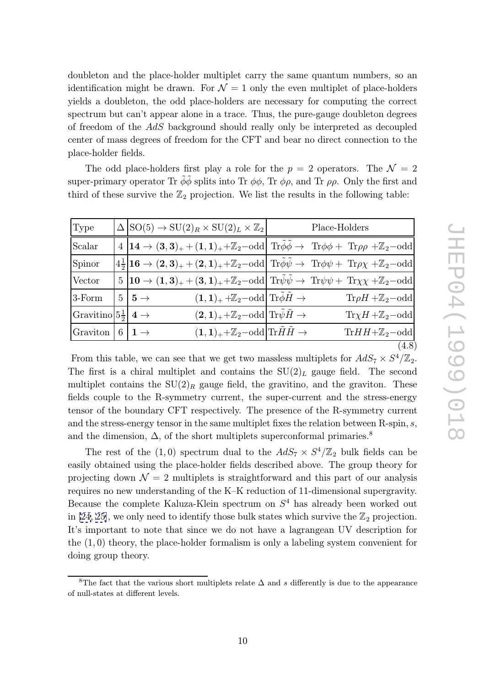The odd place-holders first play a role for the  $p = 2$  operators. The  $\mathcal{N} = 2$ super-primary operator Tr  $\tilde{\phi}\tilde{\phi}$  splits into Tr  $\phi\phi$ , Tr  $\phi\rho$ , and Tr  $\rho\rho$ . Only the first and third of these survive the  $\mathbb{Z}_2$  projection. We list the results in the following table:

| Type                                     |   | $\Delta  SO(5) \rightarrow SU(2)_R \times SU(2)_L \times \mathbb{Z}_2 $         | Place-Holders                                                                                                                                                                                                    |
|------------------------------------------|---|---------------------------------------------------------------------------------|------------------------------------------------------------------------------------------------------------------------------------------------------------------------------------------------------------------|
| Scalar                                   |   |                                                                                 | $4 14 \rightarrow (3,3)_+ + (1,1)_+ + \mathbb{Z}_2$ -odd Tr $\tilde{\phi} \tilde{\phi} \rightarrow$ Tr $\phi \phi +$ Tr $\rho \rho + \mathbb{Z}_2$ -odd                                                          |
| Spinor                                   |   |                                                                                 | $\left 4\frac{1}{2}\right 16\rightarrow (2,3)_++(2,1)_+\ +\mathbb{Z}_2\text{–odd} \left  \text{ Tr}\tilde{\phi}\tilde{\psi}\rightarrow \text{ Tr}\phi\psi + \text{ Tr}\rho\chi +\mathbb{Z}_2\text{–odd} \right $ |
| Vector                                   |   |                                                                                 | $5 10 \rightarrow (1,3)_{+} + (3,1)_{+} + \mathbb{Z}_2$ -odd Tr $\tilde{\psi}\tilde{\psi} \rightarrow \text{Tr}\psi\psi + \text{Tr}\chi\chi + \mathbb{Z}_2$ -odd                                                 |
| 3-Form                                   |   | $(1,1)_+ + \mathbb{Z}_2$ -odd Tr $\phi \tilde{H} \to$<br>$5 \mid 5 \rightarrow$ | $\text{Tr}\rho H + \mathbb{Z}_2$ -odd                                                                                                                                                                            |
| Gravitino $5\frac{1}{2}$ 4 $\rightarrow$ |   | $(2,1)_{+}+\mathbb{Z}_2$ -odd Tr $\bar{\psi}\tilde{H}\rightarrow$               | $Tr \chi H + \mathbb{Z}_2$ -odd                                                                                                                                                                                  |
| Graviton                                 | 6 | $1 \rightarrow$<br>$(1,1)_{+}+\mathbb{Z}_2$ -odd Tr $HH\rightarrow$             | $\text{Tr} H H + \mathbb{Z}_2$ -odd                                                                                                                                                                              |
|                                          |   |                                                                                 | (4.8)                                                                                                                                                                                                            |

From this table, we can see that we get two massless multiplets for  $AdS_7 \times S^4/\mathbb{Z}_2$ . The first is a chiral multiplet and contains the  $SU(2)_L$  gauge field. The second multiplet contains the  $SU(2)_R$  gauge field, the gravitino, and the graviton. These fields couple to the R-symmetry current, the super-current and the stress-energy tensor of the boundary CFT respectively. The presence of the R-symmetry current and the stress-energy tensor in the same multiplet fixes the relation between R-spin, s, and the dimension,  $\Delta$ , of the short multiplets superconformal primaries.<sup>8</sup>

The rest of the  $(1,0)$  spectrum dual to the  $AdS_7 \times S^4/\mathbb{Z}_2$  bulk fields can be easily obtained using the place-holder fields described above. The group theory for projecting down  $\mathcal{N}=2$  multiplets is straightforward and this part of our analysis requires no new understanding of the K–K reduction of 11-dimensional supergravity. Because the complete Kaluza-Klein spectrum on  $S<sup>4</sup>$  has already been worked out in [24, 25], we only need to identify those bulk states which survive the  $\mathbb{Z}_2$  projection. It's important to note that since we do not have a lagrangean UV description for the (1 , 0) theory, the place-holder formalism is only a labeling system convenient for doi[ng](#page-15-0) [gro](#page-15-0)up theory.

<sup>&</sup>lt;sup>8</sup>The fact that the various short multiplets relate  $\Delta$  and s differently is due to the appearance of null-states at different levels.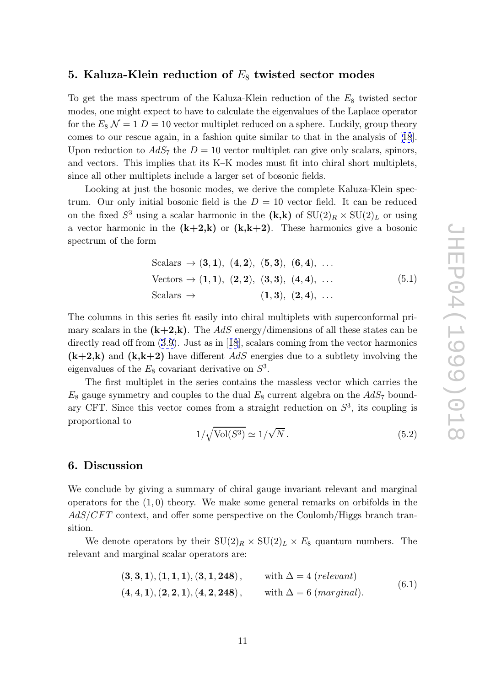# <span id="page-11-0"></span>5. Kaluza-Klein reduction of  $E_8$  twisted sector modes

To get the mass spectrum of the Kaluza-Klein reduction of the  $E_8$  twisted sector modes, one might expect to have to calculate the eigenvalues of the Laplace operator for the  $E_8 \mathcal{N} = 1 D = 10$  vector multiplet reduced on a sphere. Luckily, group theory comes to our rescue again, in a fashion quite similar to that in the analysis of [18]. Upon reduction to  $AdS_7$  the  $D = 10$  vector multiplet can give only scalars, spinors, and vectors. This implies that its K–K modes must fit into chiral short multiplets, since all other multiplets include a larger set of bosonic fields.

Looking at just the bosonic modes, we derive the complete Kaluza-Klein spectrum. Our only initial bosonic field is the  $D = 10$  vector field. It can be reduced on the fixed  $S^3$  using a scalar harmonic in the  $(k,k)$  of  $SU(2)_R \times SU(2)_L$  or using a vector harmonic in the  $(k+2, k)$  or  $(k, k+2)$ . These harmonics give a bosonic spectrum of the form

Scalars 
$$
\rightarrow
$$
 (3, 1), (4, 2), (5, 3), (6, 4), ...  
\nVectors  $\rightarrow$  (1, 1), (2, 2), (3, 3), (4, 4), ...  
\nScalars  $\rightarrow$  (1, 3), (2, 4), ... (5.1)

The columns in this series fit easily into chiral multiplets with superconformal primary scalars in the  $(k+2,k)$ . The AdS energy/dimensions of all these states can be directly read off from (3.9). Just as in [18], scalars coming from the vector harmonics  $(k+2,k)$  and  $(k,k+2)$  have different AdS energies due to a subtlety involving the eigenvalues of the  $E_8$  covariant derivative on  $S^3$ .

The first multiple[t in](#page-6-0) the series c[ont](#page-15-0)ains the massless vector which carries the  $E_8$  gauge symmetry and couples to the dual  $E_8$  current algebra on the  $AdS_7$  boundary CFT. Since this vector comes from a straight reduction on  $S<sup>3</sup>$ , its coupling is proportional to √

$$
1/\sqrt{\text{Vol}(S^3)} \simeq 1/\sqrt{N} \,. \tag{5.2}
$$

#### 6. Discussion

We conclude by giving a summary of chiral gauge invariant relevant and marginal operators for the  $(1,0)$  theory. We make some general remarks on orbifolds in the  $AdS/CFT$  context, and offer some perspective on the Coulomb/Higgs branch transition.

We denote operators by their  $SU(2)_R \times SU(2)_L \times E_8$  quantum numbers. The relevant and marginal scalar operators are:

$$
(3,3,1), (1,1,1), (3,1,248), \t with \Delta = 4 (relevant)
$$
  

$$
(4,4,1), (2,2,1), (4,2,248), \t with \Delta = 6 (marginal).
$$
 (6.1)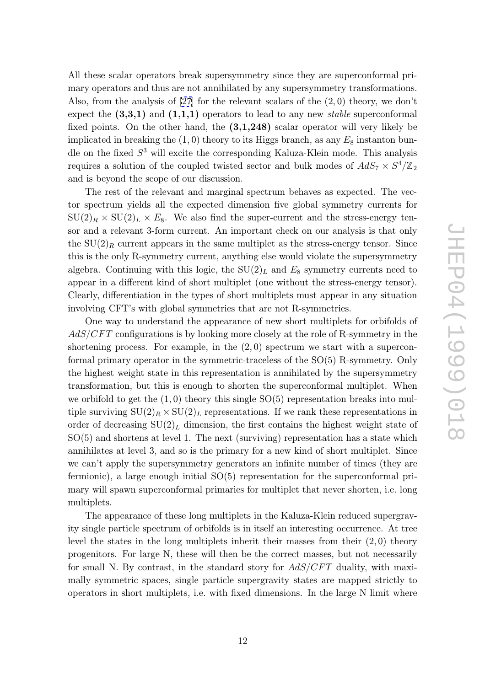All these scalar operators break supersymmetry since they are superconformal primary operators and thus are not annihilated by any supersymmetry transformations. Also, from the analysis of  $[27]$  for the relevant scalars of the  $(2,0)$  theory, we don't expect the  $(3,3,1)$  and  $(1,1,1)$  operators to lead to any new *stable* superconformal fixed points. On the other hand, the  $(3,1,248)$  scalar operator will very likely be implicated in breaking the  $(1,0)$  $(1,0)$  theory to its Higgs branch, as any  $E_8$  instanton bundle on the fixed  $S<sup>3</sup>$  will excite the corresponding Kaluza-Klein mode. This analysis requires a solution of the coupled twisted sector and bulk modes of  $AdS_7 \times S^4/\mathbb{Z}_2$ and is beyond the scope of our discussion.

The rest of the relevant and marginal spectrum behaves as expected. The vector spectrum yields all the expected dimension five global symmetry currents for  $SU(2)_R \times SU(2)_L \times E_8$ . We also find the super-current and the stress-energy tensor and a relevant 3-form current. An important check on our analysis is that only the  $SU(2)_R$  current appears in the same multiplet as the stress-energy tensor. Since this is the only R-symmetry current, anything else would violate the supersymmetry algebra. Continuing with this logic, the  $SU(2)_L$  and  $E_8$  symmetry currents need to appear in a different kind of short multiplet (one without the stress-energy tensor). Clearly, differentiation in the types of short multiplets must appear in any situation involving CFT's with global symmetries that are not R-symmetries.

One way to understand the appearance of new short multiplets for orbifolds of  $AdS/CFT$  configurations is by looking more closely at the role of R-symmetry in the shortening process. For example, in the  $(2,0)$  spectrum we start with a superconformal primary operator in the symmetric-traceless of the SO(5) R-symmetry. Only the highest weight state in this representation is annihilated by the supersymmetry transformation, but this is enough to shorten the superconformal multiplet. When we orbifold to get the  $(1,0)$  theory this single  $SO(5)$  representation breaks into multiple surviving  $SU(2)_R \times SU(2)_L$  representations. If we rank these representations in order of decreasing  $SU(2)_L$  dimension, the first contains the highest weight state of  $SO(5)$  and shortens at level 1. The next (surviving) representation has a state which annihilates at level 3, and so is the primary for a new kind of short multiplet. Since we can't apply the supersymmetry generators an infinite number of times (they are fermionic), a large enough initial SO(5) representation for the superconformal primary will spawn superconformal primaries for multiplet that never shorten, i.e. long multiplets.

The appearance of these long multiplets in the Kaluza-Klein reduced supergravity single particle spectrum of orbifolds is in itself an interesting occurrence. At tree level the states in the long multiplets inherit their masses from their  $(2,0)$  theory progenitors. For large N, these will then be the correct masses, but not necessarily for small N. By contrast, in the standard story for  $AdS/CFT$  duality, with maximally symmetric spaces, single particle supergravity states are mapped strictly to operators in short multiplets, i.e. with fixed dimensions. In the large N limit where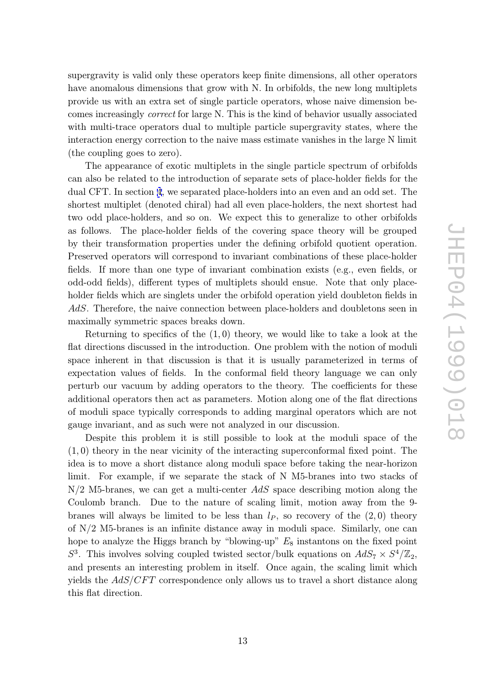supergravity is valid only these operators keep finite dimensions, all other operators have anomalous dimensions that grow with N. In orbifolds, the new long multiplets provide us with an extra set of single particle operators, whose naive dimension becomes increasingly correct for large N. This is the kind of behavior usually associated with multi-trace operators dual to multiple particle supergravity states, where the interaction energy correction to the naive mass estimate vanishes in the large N limit (the coupling goes to zero).

The appearance of exotic multiplets in the single particle spectrum of orbifolds can also be related to the introduction of separate sets of place-holder fields for the dual CFT. In section 4, we separated place-holders into an even and an odd set. The shortest multiplet (denoted chiral) had all even place-holders, the next shortest had two odd place-holders, and so on. We expect this to generalize to other orbifolds as follows. The pla[ce](#page-7-0)-holder fields of the covering space theory will be grouped by their transformation properties under the defining orbifold quotient operation. Preserved operators will correspond to invariant combinations of these place-holder fields. If more than one type of invariant combination exists (e.g., even fields, or odd-odd fields), different types of multiplets should ensue. Note that only placeholder fields which are singlets under the orbifold operation yield doubleton fields in AdS. Therefore, the naive connection between place-holders and doubletons seen in maximally symmetric spaces breaks down.

Returning to specifics of the  $(1,0)$  theory, we would like to take a look at the flat directions discussed in the introduction. One problem with the notion of moduli space inherent in that discussion is that it is usually parameterized in terms of expectation values of fields. In the conformal field theory language we can only perturb our vacuum by adding operators to the theory. The coefficients for these additional operators then act as parameters. Motion along one of the flat directions of moduli space typically corresponds to adding marginal operators which are not gauge invariant, and as such were not analyzed in our discussion.

Despite this problem it is still possible to look at the moduli space of the (1 , 0) theory in the near vicinity of the interacting superconformal fixed point. The idea is to move a short distance along moduli space before taking the near-horizon limit. For example, if we separate the stack of N M5-branes into two stacks of  $N/2$  M5-branes, we can get a multi-center  $AdS$  space describing motion along the Coulomb branch. Due to the nature of scaling limit, motion away from the 9 branes will always be limited to be less than  $l_P$ , so recovery of the  $(2,0)$  theory of N/2 M5-branes is an infinite distance away in moduli space. Similarly, one can hope to analyze the Higgs branch by "blowing-up"  $E_8$  instantons on the fixed point  $S^3$ . This involves solving coupled twisted sector/bulk equations on  $AdS_7 \times S^4/\mathbb{Z}_2$ , and presents an interesting problem in itself. Once again, the scaling limit which yields the  $AdS/CFT$  correspondence only allows us to travel a short distance along this flat direction.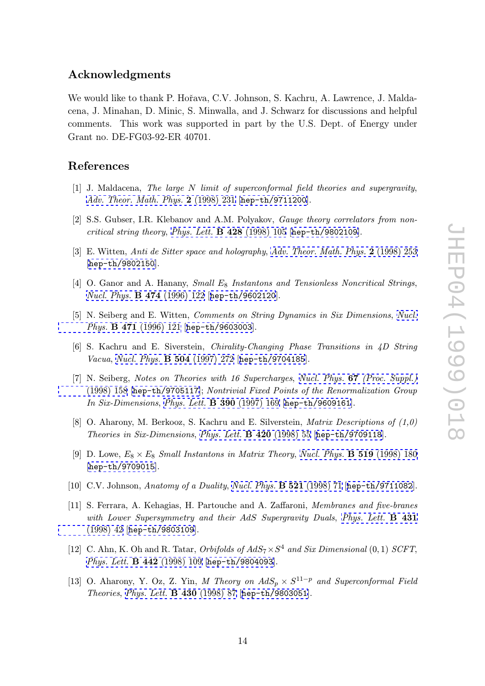### <span id="page-14-0"></span>Acknowledgments

We would like to thank P. Hořava, C.V. Johnson, S. Kachru, A. Lawrence, J. Maldacena, J. Minahan, D. Minic, S. Minwalla, and J. Schwarz for discussions and helpful comments. This work was supported in part by the U.S. Dept. of Energy under Grant no. DE-FG03-92-ER 40701.

### References

- [1] J. Maldacena, The large N limit of superconformal field theories and supergravity, Adv. Theor. Math. Phys. 2 (1998) 231 [hep-th/9711200].
- [2] S.S. Gubser, I.R. Klebanov and A.M. Polyakov, Gauge theory correlators from non[critical](http://www-spires.slac.stanford.edu/spires/find/hep/www?j=00203%2C2%2C231) [string](http://www-spires.slac.stanford.edu/spires/find/hep/www?j=00203%2C2%2C231) [theory](http://www-spires.slac.stanford.edu/spires/find/hep/www?j=00203%2C2%2C231), Phys. Lett.  $\bf{B}$  428 [\(1998\)](http://xxx.lanl.gov/abs/hep-th/9711200) [105](http://xxx.lanl.gov/abs/hep-th/9711200) [\[](http://xxx.lanl.gov/abs/hep-th/9711200)hep-th/9802109].
- [3] E. Witten, Anti de Sitter space and holography, Adv. Theor. Math. Phys. 2 (1998) 253 [hep-th/9802150].
- [4] O. Ganor [and](http://www-spires.slac.stanford.edu/spires/find/hep/www?j=00203%2C2%2C253) A. Hanany, Small  $E_8$  $E_8$  In[s](http://www-spires.slac.stanford.edu/spires/find/hep/www?j=00203%2C2%2C253)tantons and [Tensionless](http://www-spires.slac.stanford.edu/spires/find/hep/www?j=00203%2C2%2C253) [Noncritical](http://www-spires.slac.stanford.edu/spires/find/hep/www?j=00203%2C2%2C253) [Strings](http://www-spires.slac.stanford.edu/spires/find/hep/www?j=00203%2C2%2C253), [Nucl.](http://xxx.lanl.gov/abs/hep-th/9802150) [Phys.](http://xxx.lanl.gov/abs/hep-th/9802150) B 474 (1996) 122 [hep-th/9602120].
- [5] N. Seiberg and E. Witten, Comments on String Dynamics in Six Dimensions, Nucl. Phys. B 471 [\(1996\)](http://www-spires.slac.stanford.edu/spires/find/hep/www?j=NUPHA%2CB474%2C122) [121](http://www-spires.slac.stanford.edu/spires/find/hep/www?j=NUPHA%2CB474%2C122) [\[](http://www-spires.slac.stanford.edu/spires/find/hep/www?j=NUPHA%2CB474%2C122)hep-t[h/9603003](http://xxx.lanl.gov/abs/hep-th/9602120)].
- [6] S. Kachru and E. Siverstein, Chirality-Changing Phase Transitions in 4D [String](http://www-spires.slac.stanford.edu/spires/find/hep/www?j=NUPHA%2CB471%2C121) Vacua , [Nucl.](http://www-spires.slac.stanford.edu/spires/find/hep/www?j=NUPHA%2CB471%2C121) [Phys.](http://www-spires.slac.stanford.edu/spires/find/hep/www?j=NUPHA%2CB471%2C121) B 504 [\(1997\)](http://xxx.lanl.gov/abs/hep-th/9603003) [272](http://xxx.lanl.gov/abs/hep-th/9603003) [\[](http://xxx.lanl.gov/abs/hep-th/9603003)hep-th/9704185].
- [7] N. Seiberg, Notes on Theories with 16 Supercharges, Nucl. Phys. 67 (Proc. Suppl.) (1998) 158 [hep-th/9705117]; Nontrivial Fixed Points of the Renormalization Group In Six-[Dimensions](http://www-spires.slac.stanford.edu/spires/find/hep/www?j=NUPHA%2CB504%2C272), Phys. Lett. **B 390** [\(1997\)](http://xxx.lanl.gov/abs/hep-th/9704185) [169](http://xxx.lanl.gov/abs/hep-th/9704185) [\[](http://xxx.lanl.gov/abs/hep-th/9704185)hep-th/9609161].
- [8] O. Aharony, M. Berkooz, S. Kachru and E. Silverstein, [Matrix](http://www-spires.slac.stanford.edu/spires/find/hep/www?j=NUPHZ%2C67%2C158) [Descriptions](http://www-spires.slac.stanford.edu/spires/find/hep/www?j=NUPHZ%2C67%2C158) [of](http://www-spires.slac.stanford.edu/spires/find/hep/www?j=NUPHZ%2C67%2C158) [\(1,0\)](http://www-spires.slac.stanford.edu/spires/find/hep/www?j=NUPHZ%2C67%2C158) [Theories](http://www-spires.slac.stanford.edu/spires/find/hep/www?j=NUPHZ%2C67%2C158) [in](http://www-spires.slac.stanford.edu/spires/find/hep/www?j=NUPHZ%2C67%2C158) [Six-Dimensions](http://xxx.lanl.gov/abs/hep-th/9705117) , [Phys.](http://www-spires.slac.stanford.edu/spires/find/hep/www?j=PHLTA%2CB390%2C169) [Lett.](http://www-spires.slac.stanford.edu/spires/find/hep/www?j=PHLTA%2CB390%2C169) B 420 (1998) 55 [[hep-th/9](http://xxx.lanl.gov/abs/hep-th/9609161)709118].
- [9] D. Lowe,  $E_8 \times E_8$  Small Instantons in Matrix Theory, Nucl. Phys. **B 519** (1998) 180 [hep-th/9709015].
- [10] C.V. Johnson, Anatomy of a Duality, Nucl. Phys. **B 521** (1998) 71 [[hep-th/9711082](http://www-spires.slac.stanford.edu/spires/find/hep/www?j=NUPHA%2CB519%2C180)].
- [11] [S. Ferrara, A. Ke](http://xxx.lanl.gov/abs/hep-th/9709015)hagias, H. Partouche and A. Zaffaroni, Membranes and five-branes with Lower Supersymmetry and their AdS [Supergravity](http://www-spires.slac.stanford.edu/spires/find/hep/www?j=NUPHA%2CB521%2C71) [Duals](http://www-spires.slac.stanford.edu/spires/find/hep/www?j=NUPHA%2CB521%2C71), [Phys.](http://xxx.lanl.gov/abs/hep-th/9711082) [Lett.](http://xxx.lanl.gov/abs/hep-th/9711082) **B** 431 (1998) 42 [hep-th/9803109].
- [12] C. Ahn, K. Oh and R. Tatar, Orbifolds of  $AdS_7 \times S^4$  and Six Dime[nsional](http://www-spires.slac.stanford.edu/spires/find/hep/www?j=PHLTA%2CB431%2C42) (0, 1) SCFT, [Phys.](http://www-spires.slac.stanford.edu/spires/find/hep/www?j=PHLTA%2CB431%2C42) [Let](http://www-spires.slac.stanford.edu/spires/find/hep/www?j=PHLTA%2CB431%2C42)t. **[B](http://xxx.lanl.gov/abs/hep-th/9803109) [442](http://xxx.lanl.gov/abs/hep-th/9803109)** (1998) 109 [hep-th/9804093].
- [13] O. Aharony, Y. Oz, Z. Yin, M Theory on  $AdS_p \times S^{11-p}$  and Superconformal Field Theories , Phys. Lett. [B](http://www-spires.slac.stanford.edu/spires/find/hep/www?j=PHLTA%2CB442%2C109) [430](http://www-spires.slac.stanford.edu/spires/find/hep/www?j=PHLTA%2CB442%2C109) (1998) 87 [[hep-th/](http://xxx.lanl.gov/abs/hep-th/9804093)9803051].